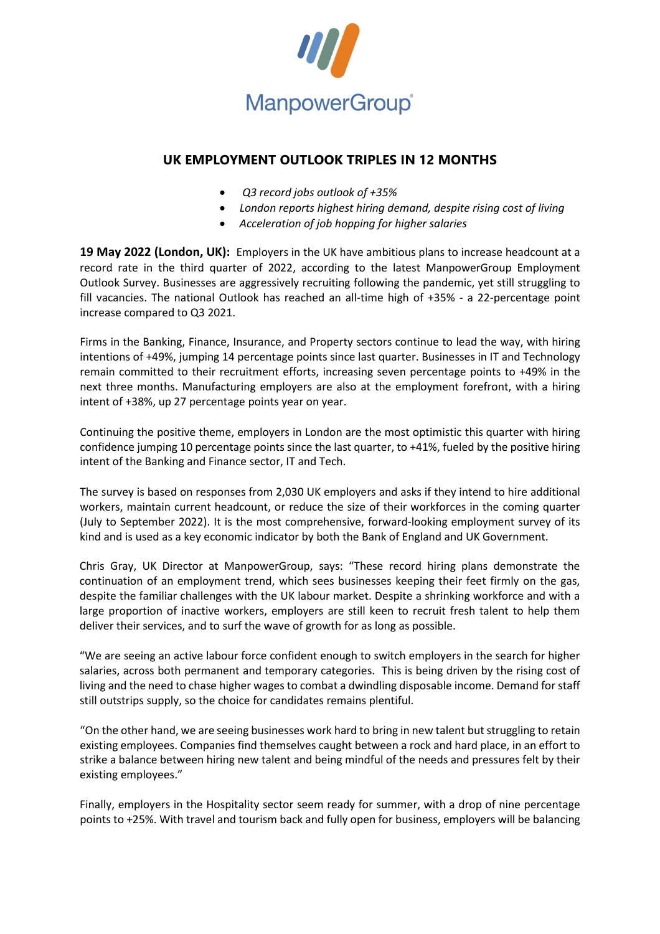

## **UK EMPLOYMENT OUTLOOK TRIPLES IN 12 MONTHS**

- *Q3 record jobs outlook of +35%*
- *London reports highest hiring demand, despite rising cost of living*
- *Acceleration of job hopping for higher salaries*

**19 May 2022 (London, UK):** Employers in the UK have ambitious plans to increase headcount at a record rate in the third quarter of 2022, according to the latest ManpowerGroup Employment Outlook Survey. Businesses are aggressively recruiting following the pandemic, yet still struggling to fill vacancies. The national Outlook has reached an all-time high of +35% - a 22-percentage point increase compared to Q3 2021.

Firms in the Banking, Finance, Insurance, and Property sectors continue to lead the way, with hiring intentions of +49%, jumping 14 percentage points since last quarter. Businesses in IT and Technology remain committed to their recruitment efforts, increasing seven percentage points to +49% in the next three months. Manufacturing employers are also at the employment forefront, with a hiring intent of +38%, up 27 percentage points year on year.

Continuing the positive theme, employers in London are the most optimistic this quarter with hiring confidence jumping 10 percentage points since the last quarter, to +41%, fueled by the positive hiring intent of the Banking and Finance sector, IT and Tech.

The survey is based on responses from 2,030 UK employers and asks if they intend to hire additional workers, maintain current headcount, or reduce the size of their workforces in the coming quarter (July to September 2022). It is the most comprehensive, forward-looking employment survey of its kind and is used as a key economic indicator by both the Bank of England and UK Government.

Chris Gray, UK Director at ManpowerGroup, says: "These record hiring plans demonstrate the continuation of an employment trend, which sees businesses keeping their feet firmly on the gas, despite the familiar challenges with the UK labour market. Despite a shrinking workforce and with a large proportion of inactive workers, employers are still keen to recruit fresh talent to help them deliver their services, and to surf the wave of growth for as long as possible.

"We are seeing an active labour force confident enough to switch employers in the search for higher salaries, across both permanent and temporary categories. This is being driven by the rising cost of living and the need to chase higher wages to combat a dwindling disposable income. Demand forstaff still outstrips supply, so the choice for candidates remains plentiful.

"On the other hand, we are seeing businesses work hard to bring in new talent but struggling to retain existing employees. Companies find themselves caught between a rock and hard place, in an effort to strike a balance between hiring new talent and being mindful of the needs and pressures felt by their existing employees."

Finally, employers in the Hospitality sector seem ready for summer, with a drop of nine percentage points to +25%. With travel and tourism back and fully open for business, employers will be balancing